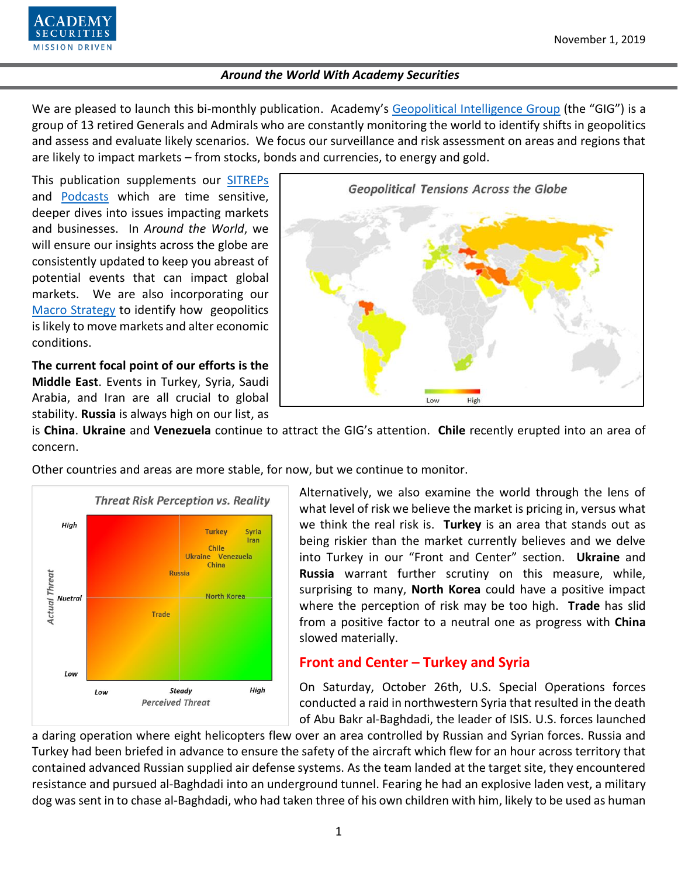

We are pleased to launch this bi-monthly publication. Academy's [Geopolitical Intelligence Group](https://www.academysecurities.com/geopolitical/geopolitical-intelligence-group/) (the "GIG") is a group of 13 retired Generals and Admirals who are constantly monitoring the world to identify shifts in geopolitics and assess and evaluate likely scenarios. We focus our surveillance and risk assessment on areas and regions that are likely to impact markets – from stocks, bonds and currencies, to energy and gold.

This publication supplements our [SITREPs](https://www.academysecurities.com/geopolitical/insights/) and [Podcasts](https://www.academysecurities.com/geopolitical/geopolitical-podcasts/) which are time sensitive, deeper dives into issues impacting markets and businesses. In *Around the World*, we will ensure our insights across the globe are consistently updated to keep you abreast of potential events that can impact global markets. We are also incorporating our [Macro Strategy](https://www.academysecurities.com/macro-strategy-insights/) to identify how geopolitics is likely to move markets and alter economic conditions.

**The current focal point of our efforts is the Middle East**. Events in Turkey, Syria, Saudi Arabia, and Iran are all crucial to global stability. **Russia** is always high on our list, as



is **China**. **Ukraine** and **Venezuela** continue to attract the GIG's attention. **Chile** recently erupted into an area of concern.

Other countries and areas are more stable, for now, but we continue to monitor.



Alternatively, we also examine the world through the lens of what level of risk we believe the market is pricing in, versus what we think the real risk is. **Turkey** is an area that stands out as being riskier than the market currently believes and we delve into Turkey in our "Front and Center" section. **Ukraine** and **Russia** warrant further scrutiny on this measure, while, surprising to many, **North Korea** could have a positive impact where the perception of risk may be too high. **Trade** has slid from a positive factor to a neutral one as progress with **China** slowed materially.

# **Front and Center – Turkey and Syria**

On Saturday, October 26th, U.S. Special Operations forces conducted a raid in northwestern Syria that resulted in the death of Abu Bakr al-Baghdadi, the leader of ISIS. U.S. forces launched

a daring operation where eight helicopters flew over an area controlled by Russian and Syrian forces. Russia and Turkey had been briefed in advance to ensure the safety of the aircraft which flew for an hour across territory that contained advanced Russian supplied air defense systems. As the team landed at the target site, they encountered resistance and pursued al-Baghdadi into an underground tunnel. Fearing he had an explosive laden vest, a military dog was sent in to chase al-Baghdadi, who had taken three of his own children with him, likely to be used as human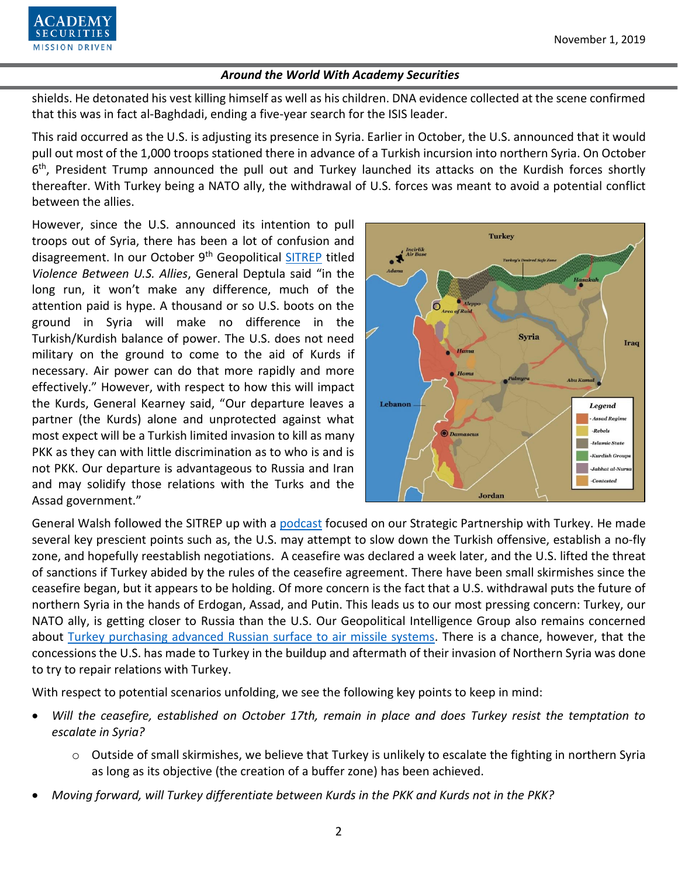

shields. He detonated his vest killing himself as well as his children. DNA evidence collected at the scene confirmed that this was in fact al-Baghdadi, ending a five-year search for the ISIS leader.

This raid occurred as the U.S. is adjusting its presence in Syria. Earlier in October, the U.S. announced that it would pull out most of the 1,000 troops stationed there in advance of a Turkish incursion into northern Syria. On October 6<sup>th</sup>, President Trump announced the pull out and Turkey launched its attacks on the Kurdish forces shortly thereafter. With Turkey being a NATO ally, the withdrawal of U.S. forces was meant to avoid a potential conflict between the allies.

However, since the U.S. announced its intention to pull troops out of Syria, there has been a lot of confusion and disagreement. In our October 9<sup>th</sup> Geopolitical [SITREP](https://www.academysecurities.com/violence-between-u-s-allies/) titled *Violence Between U.S. Allies*, General Deptula said "in the long run, it won't make any difference, much of the attention paid is hype. A thousand or so U.S. boots on the ground in Syria will make no difference in the Turkish/Kurdish balance of power. The U.S. does not need military on the ground to come to the aid of Kurds if necessary. Air power can do that more rapidly and more effectively." However, with respect to how this will impact the Kurds, General Kearney said, "Our departure leaves a partner (the Kurds) alone and unprotected against what most expect will be a Turkish limited invasion to kill as many PKK as they can with little discrimination as to who is and is not PKK. Our departure is advantageous to Russia and Iran and may solidify those relations with the Turks and the Assad government."



General Walsh followed the SITREP up with a [podcast](https://www.academysecurities.com/geopolitical/geopolitical-podcasts/) focused on our Strategic Partnership with Turkey. He made several key prescient points such as, the U.S. may attempt to slow down the Turkish offensive, establish a no-fly zone, and hopefully reestablish negotiations. A ceasefire was declared a week later, and the U.S. lifted the threat of sanctions if Turkey abided by the rules of the ceasefire agreement. There have been small skirmishes since the ceasefire began, but it appears to be holding. Of more concern is the fact that a U.S. withdrawal puts the future of northern Syria in the hands of Erdogan, Assad, and Putin. This leads us to our most pressing concern: Turkey, our NATO ally, is getting closer to Russia than the U.S. Our Geopolitical Intelligence Group also remains concerned about [Turkey purchasing advanced Russian surface to air missile systems.](https://www.academysecurities.com/turkey-feels-pressure/) There is a chance, however, that the concessions the U.S. has made to Turkey in the buildup and aftermath of their invasion of Northern Syria was done to try to repair relations with Turkey.

With respect to potential scenarios unfolding, we see the following key points to keep in mind:

- *Will the ceasefire, established on October 17th, remain in place and does Turkey resist the temptation to escalate in Syria?*
	- o Outside of small skirmishes, we believe that Turkey is unlikely to escalate the fighting in northern Syria as long as its objective (the creation of a buffer zone) has been achieved.
- *Moving forward, will Turkey differentiate between Kurds in the PKK and Kurds not in the PKK?*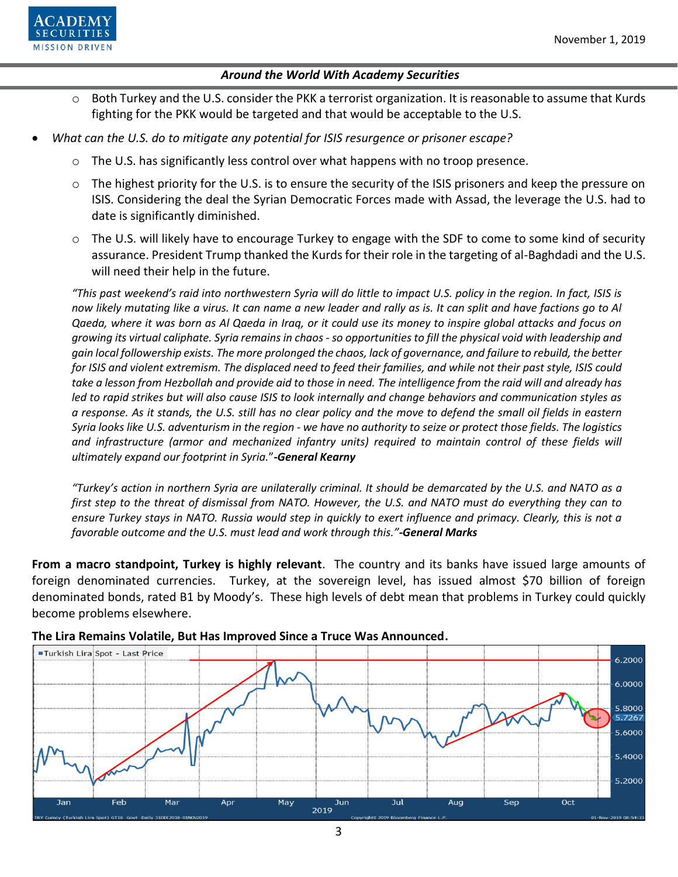

- $\circ$  Both Turkey and the U.S. consider the PKK a terrorist organization. It is reasonable to assume that Kurds fighting for the PKK would be targeted and that would be acceptable to the U.S.
- *What can the U.S. do to mitigate any potential for ISIS resurgence or prisoner escape?*
	- $\circ$  The U.S. has significantly less control over what happens with no troop presence.
	- $\circ$  The highest priority for the U.S. is to ensure the security of the ISIS prisoners and keep the pressure on ISIS. Considering the deal the Syrian Democratic Forces made with Assad, the leverage the U.S. had to date is significantly diminished.
	- $\circ$  The U.S. will likely have to encourage Turkey to engage with the SDF to come to some kind of security assurance. President Trump thanked the Kurds for their role in the targeting of al-Baghdadi and the U.S. will need their help in the future.

*"This past weekend's raid into northwestern Syria will do little to impact U.S. policy in the region. In fact, ISIS is now likely mutating like a virus. It can name a new leader and rally as is. It can split and have factions go to Al Qaeda, where it was born as Al Qaeda in Iraq, or it could use its money to inspire global attacks and focus on growing its virtual caliphate. Syria remains in chaos - so opportunities to fill the physical void with leadership and gain local followership exists. The more prolonged the chaos, lack of governance, and failure to rebuild, the better for ISIS and violent extremism. The displaced need to feed their families, and while not their past style, ISIS could take a lesson from Hezbollah and provide aid to those in need. The intelligence from the raid will and already has led to rapid strikes but will also cause ISIS to look internally and change behaviors and communication styles as a response. As it stands, the U.S. still has no clear policy and the move to defend the small oil fields in eastern Syria looks like U.S. adventurism in the region - we have no authority to seize or protect those fields. The logistics*  and infrastructure (armor and mechanized infantry units) required to maintain control of these fields will *ultimately expand our footprint in Syria.*"**-***General Kearny*

*"Turkey's action in northern Syria are unilaterally criminal. It should be demarcated by the U.S. and NATO as a first step to the threat of dismissal from NATO. However, the U.S. and NATO must do everything they can to ensure Turkey stays in NATO. Russia would step in quickly to exert influence and primacy. Clearly, this is not a favorable outcome and the U.S. must lead and work through this."-General Marks*

**From a macro standpoint, Turkey is highly relevant**. The country and its banks have issued large amounts of foreign denominated currencies. Turkey, at the sovereign level, has issued almost \$70 billion of foreign denominated bonds, rated B1 by Moody's. These high levels of debt mean that problems in Turkey could quickly become problems elsewhere.



#### **The Lira Remains Volatile, But Has Improved Since a Truce Was Announced.**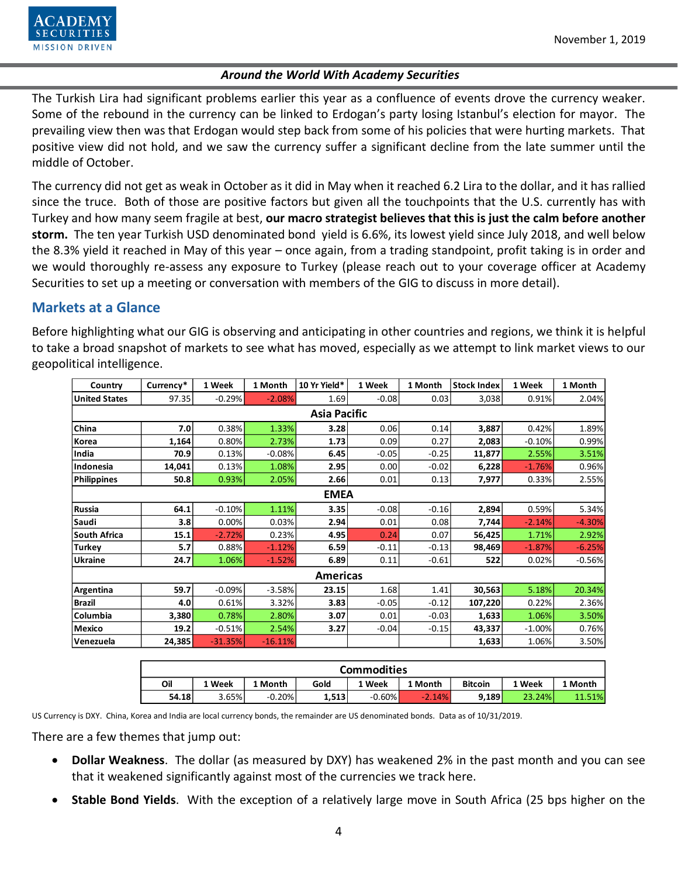

The Turkish Lira had significant problems earlier this year as a confluence of events drove the currency weaker. Some of the rebound in the currency can be linked to Erdogan's party losing Istanbul's election for mayor. The prevailing view then was that Erdogan would step back from some of his policies that were hurting markets. That positive view did not hold, and we saw the currency suffer a significant decline from the late summer until the middle of October.

The currency did not get as weak in October as it did in May when it reached 6.2 Lira to the dollar, and it has rallied since the truce. Both of those are positive factors but given all the touchpoints that the U.S. currently has with Turkey and how many seem fragile at best, **our macro strategist believes that this is just the calm before another storm.** The ten year Turkish USD denominated bond yield is 6.6%, its lowest yield since July 2018, and well below the 8.3% yield it reached in May of this year – once again, from a trading standpoint, profit taking is in order and we would thoroughly re-assess any exposure to Turkey (please reach out to your coverage officer at Academy Securities to set up a meeting or conversation with members of the GIG to discuss in more detail).

# **Markets at a Glance**

Before highlighting what our GIG is observing and anticipating in other countries and regions, we think it is helpful to take a broad snapshot of markets to see what has moved, especially as we attempt to link market views to our geopolitical intelligence.

| <b>United States</b> |                    | 1 Week    | 1 Month   | 10 Yr Yield*        | 1 Week   | 1 Month  | <b>Stock Index</b> | 1 Week   | 1 Month  |  |
|----------------------|--------------------|-----------|-----------|---------------------|----------|----------|--------------------|----------|----------|--|
|                      | 97.35              | $-0.29%$  | $-2.08%$  | 1.69                | $-0.08$  | 0.03     | 3,038              | 0.91%    | 2.04%    |  |
|                      |                    |           |           | <b>Asia Pacific</b> |          |          |                    |          |          |  |
| China                | 7.0                | 0.38%     | 1.33%     | 3.28                | 0.06     | 0.14     | 3,887              | 0.42%    | 1.89%    |  |
| Korea                | 1,164              | 0.80%     | 2.73%     | 1.73                | 0.09     | 0.27     | 2,083              | $-0.10%$ | 0.99%    |  |
| India                | 70.9               | 0.13%     | $-0.08%$  | 6.45                | $-0.05$  | $-0.25$  | 11,877             | 2.55%    | 3.51%    |  |
| Indonesia            | 14,041             | 0.13%     | 1.08%     | 2.95                | 0.00     | $-0.02$  | 6,228              | $-1.76%$ | 0.96%    |  |
| <b>Philippines</b>   | 50.8               | 0.93%     | 2.05%     | 2.66                | 0.01     | 0.13     | 7,977              | 0.33%    | 2.55%    |  |
|                      |                    |           |           | <b>EMEA</b>         |          |          |                    |          |          |  |
| Russia               | 64.1               | $-0.10%$  | 1.11%     | 3.35                | $-0.08$  | $-0.16$  | 2,894              | 0.59%    | 5.34%    |  |
| Saudi                | 3.8                | 0.00%     | 0.03%     | 2.94                | 0.01     | 0.08     | 7,744              | $-2.14%$ | $-4.30%$ |  |
| <b>South Africa</b>  | 15.1               | $-2.72%$  | 0.23%     | 4.95                | 0.24     | 0.07     | 56,425             | 1.71%    | 2.92%    |  |
| <b>Turkey</b>        | 5.7                | 0.88%     | $-1.12%$  | 6.59                | $-0.11$  | $-0.13$  | 98,469             | $-1.87%$ | $-6.25%$ |  |
| Ukraine              | 24.7               | 1.06%     | $-1.52%$  | 6.89                | 0.11     | $-0.61$  | 522                | 0.02%    | $-0.56%$ |  |
|                      |                    |           |           | <b>Americas</b>     |          |          |                    |          |          |  |
| Argentina            | 59.7               | $-0.09%$  | $-3.58%$  | 23.15               | 1.68     | 1.41     | 30,563             | 5.18%    | 20.34%   |  |
| <b>Brazil</b>        | 4.0                | 0.61%     | 3.32%     | 3.83                | $-0.05$  | $-0.12$  | 107,220            | 0.22%    | 2.36%    |  |
| Columbia             | 3,380              | 0.78%     | 2.80%     | 3.07                | 0.01     | $-0.03$  | 1,633              | 1.06%    | 3.50%    |  |
| <b>Mexico</b>        | 19.2               | $-0.51%$  | 2.54%     | 3.27                | $-0.04$  | $-0.15$  | 43,337             | $-1.00%$ | 0.76%    |  |
| Venezuela            | 24,385             | $-31.35%$ | $-16.11%$ |                     |          |          | 1,633              | 1.06%    | 3.50%    |  |
|                      |                    |           |           |                     |          |          |                    |          |          |  |
|                      | <b>Commodities</b> |           |           |                     |          |          |                    |          |          |  |
|                      | Oil                | 1 Week    | 1 Month   | Gold                | 1 Week   | 1 Month  | <b>Bitcoin</b>     | 1 Week   | 1 Month  |  |
|                      | 54.18              | 3.65%     | $-0.20%$  | 1,513               | $-0.60%$ | $-2.14%$ | 9,189              | 23.24%   | 11.51%   |  |

| <b>Commodities</b> |        |          |       |           |          |                |        |        |  |  |  |
|--------------------|--------|----------|-------|-----------|----------|----------------|--------|--------|--|--|--|
| Oil                | 1 Week | Month    | Gold  | 1 Week    | 1 Month  | <b>Bitcoin</b> | 1 Week | Month  |  |  |  |
| 54.18              | 3.65%  | $-0.20%$ | 1.513 | $-0.60\%$ | $-2.14%$ | 9,189          | 23.24% | 11.51% |  |  |  |

There are a few themes that jump out:

- **Dollar Weakness**. The dollar (as measured by DXY) has weakened 2% in the past month and you can see that it weakened significantly against most of the currencies we track here.
-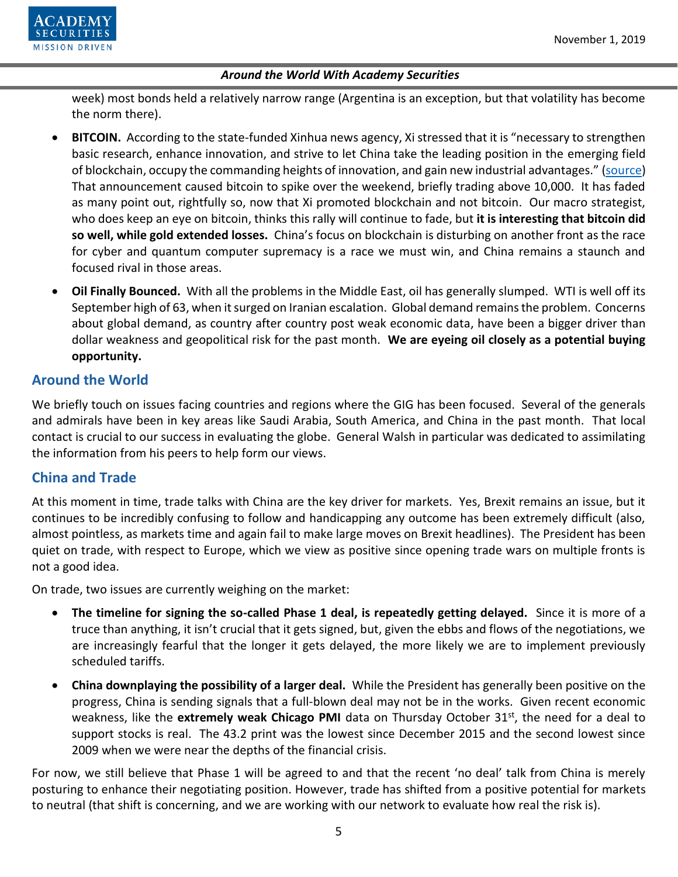

week) most bonds held a relatively narrow range (Argentina is an exception, but that volatility has become the norm there).

- **BITCOIN.** According to the state-funded Xinhua news agency, Xi stressed that it is "necessary to strengthen basic research, enhance innovation, and strive to let China take the leading position in the [emerging field](https://coinrivet.com/blockchain-based-trade-finance-is-coming-to-russia-and-germany/)  [of blockchain](https://coinrivet.com/blockchain-based-trade-finance-is-coming-to-russia-and-germany/), occupy the commanding heights of innovation, and gain new industrial advantages." [\(source\)](https://finance.yahoo.com/news/xi-jinping-blockchain-vital-china-110041615.html) That announcement caused bitcoin to spike over the weekend, briefly trading above 10,000. It has faded as many point out, rightfully so, now that Xi promoted blockchain and not bitcoin. Our macro strategist, who does keep an eye on bitcoin, thinks this rally will continue to fade, but **it is interesting that bitcoin did so well, while gold extended losses.** China's focus on blockchain is disturbing on another front as the race for cyber and quantum computer supremacy is a race we must win, and China remains a staunch and focused rival in those areas.
- **Oil Finally Bounced.** With all the problems in the Middle East, oil has generally slumped. WTI is well off its September high of 63, when it surged on Iranian escalation. Global demand remains the problem. Concerns about global demand, as country after country post weak economic data, have been a bigger driver than dollar weakness and geopolitical risk for the past month. **We are eyeing oil closely as a potential buying opportunity.**

# **Around the World**

We briefly touch on issues facing countries and regions where the GIG has been focused. Several of the generals and admirals have been in key areas like Saudi Arabia, South America, and China in the past month. That local contact is crucial to our success in evaluating the globe. General Walsh in particular was dedicated to assimilating the information from his peers to help form our views.

# **China and Trade**

At this moment in time, trade talks with China are the key driver for markets. Yes, Brexit remains an issue, but it continues to be incredibly confusing to follow and handicapping any outcome has been extremely difficult (also, almost pointless, as markets time and again fail to make large moves on Brexit headlines). The President has been quiet on trade, with respect to Europe, which we view as positive since opening trade wars on multiple fronts is not a good idea.

On trade, two issues are currently weighing on the market:

- **The timeline for signing the so-called Phase 1 deal, is repeatedly getting delayed.** Since it is more of a truce than anything, it isn't crucial that it gets signed, but, given the ebbs and flows of the negotiations, we are increasingly fearful that the longer it gets delayed, the more likely we are to implement previously scheduled tariffs.
- **China downplaying the possibility of a larger deal.** While the President has generally been positive on the progress, China is sending signals that a full-blown deal may not be in the works. Given recent economic weakness, like the **extremely weak Chicago PMI** data on Thursday October 31<sup>st</sup>, the need for a deal to support stocks is real. The 43.2 print was the lowest since December 2015 and the second lowest since 2009 when we were near the depths of the financial crisis.

For now, we still believe that Phase 1 will be agreed to and that the recent 'no deal' talk from China is merely posturing to enhance their negotiating position. However, trade has shifted from a positive potential for markets to neutral (that shift is concerning, and we are working with our network to evaluate how real the risk is).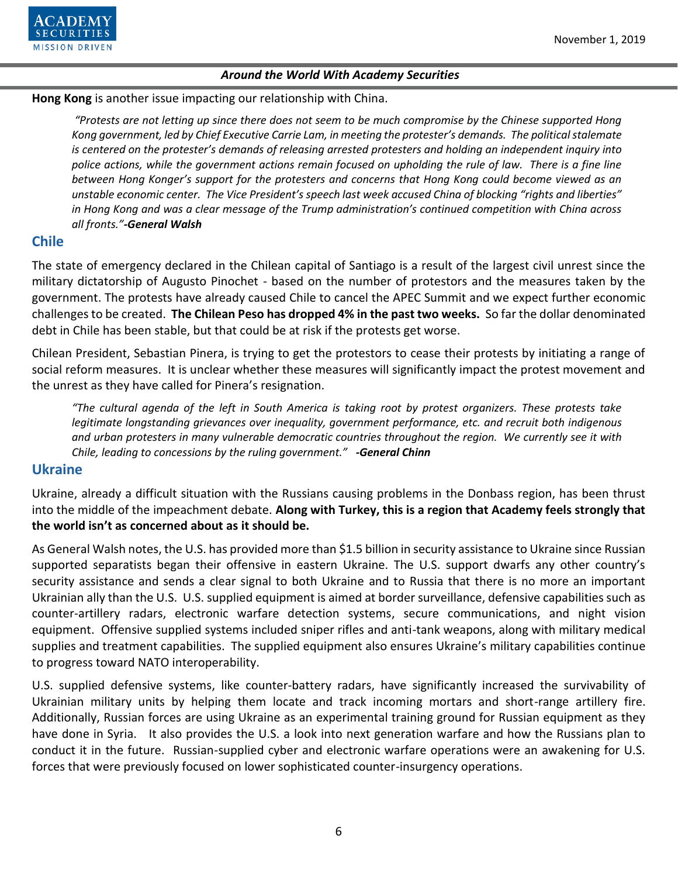

#### **Hong Kong** is another issue impacting our relationship with China.

*"Protests are not letting up since there does not seem to be much compromise by the Chinese supported Hong Kong government, led by Chief Executive Carrie Lam, in meeting the protester's demands. The political stalemate is centered on the protester's demands of releasing arrested protesters and holding an independent inquiry into*  police actions, while the government actions remain focused on upholding the rule of law. There is a fine line *between Hong Konger's support for the protesters and concerns that Hong Kong could become viewed as an unstable economic center. The Vice President's speech last week accused China of blocking "rights and liberties" in Hong Kong and was a clear message of the Trump administration's continued competition with China across all fronts."-General Walsh*

## **Chile**

The state of emergency declared in the Chilean capital of Santiago is a result of the largest civil unrest since the military dictatorship of Augusto Pinochet - based on the number of protestors and the measures taken by the government. The protests have already caused Chile to cancel the APEC Summit and we expect further economic challenges to be created. **The Chilean Peso has dropped 4% in the past two weeks.** So far the dollar denominated debt in Chile has been stable, but that could be at risk if the protests get worse.

Chilean President, Sebastian Pinera, is trying to get the protestors to cease their protests by initiating a range of social reform measures. It is unclear whether these measures will significantly impact the protest movement and the unrest as they have called for Pinera's resignation.

*"The cultural agenda of the left in South America is taking root by protest organizers. These protests take legitimate longstanding grievances over inequality, government performance, etc. and recruit both indigenous and urban protesters in many vulnerable democratic countries throughout the region. We currently see it with Chile, leading to concessions by the ruling government." -General Chinn*

## **Ukraine**

Ukraine, already a difficult situation with the Russians causing problems in the Donbass region, has been thrust into the middle of the impeachment debate. **Along with Turkey, this is a region that Academy feels strongly that the world isn't as concerned about as it should be.**

As General Walsh notes, the U.S. has provided more than \$1.5 billion in security assistance to Ukraine since Russian supported separatists began their offensive in eastern Ukraine. The U.S. support dwarfs any other country's security assistance and sends a clear signal to both Ukraine and to Russia that there is no more an important Ukrainian ally than the U.S. U.S. supplied equipment is aimed at border surveillance, defensive capabilities such as counter-artillery radars, electronic warfare detection systems, secure communications, and night vision equipment. Offensive supplied systems included sniper rifles and anti-tank weapons, along with military medical supplies and treatment capabilities. The supplied equipment also ensures Ukraine's military capabilities continue to progress toward NATO interoperability.

U.S. supplied defensive systems, like counter-battery radars, have significantly increased the survivability of Ukrainian military units by helping them locate and track incoming mortars and short-range artillery fire. Additionally, Russian forces are using Ukraine as an experimental training ground for Russian equipment as they have done in Syria. It also provides the U.S. a look into next generation warfare and how the Russians plan to conduct it in the future. Russian-supplied cyber and electronic warfare operations were an awakening for U.S. forces that were previously focused on lower sophisticated counter-insurgency operations.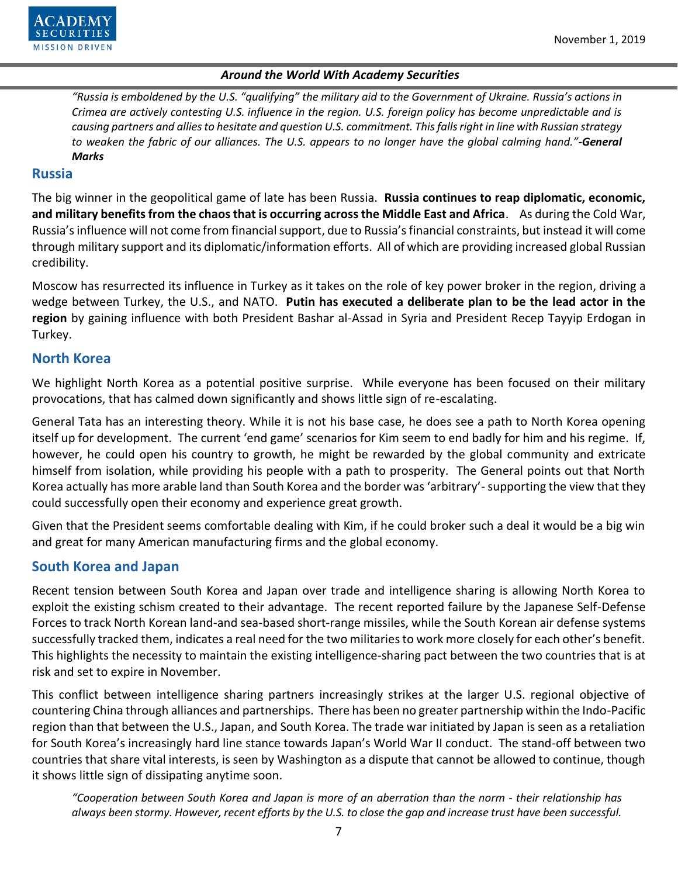

*"Russia is emboldened by the U.S. "qualifying" the military aid to the Government of Ukraine. Russia's actions in Crimea are actively contesting U.S. influence in the region. U.S. foreign policy has become unpredictable and is causing partners and allies to hesitate and question U.S. commitment. This falls right in line with Russian strategy to weaken the fabric of our alliances. The U.S. appears to no longer have the global calming hand."-General Marks*

#### **Russia**

The big winner in the geopolitical game of late has been Russia. **Russia continues to reap diplomatic, economic, and military benefits from the chaos that is occurring across the Middle East and Africa**. As during the Cold War, Russia's influence will not come from financial support, due to Russia's financial constraints, but instead it will come through military support and its diplomatic/information efforts. All of which are providing increased global Russian credibility.

Moscow has resurrected its influence in Turkey as it takes on the role of key power broker in the region, driving a wedge between Turkey, the U.S., and NATO. **Putin has executed a deliberate plan to be the lead actor in the region** by gaining influence with both President Bashar al-Assad in Syria and President Recep Tayyip Erdogan in Turkey.

### **North Korea**

We highlight North Korea as a potential positive surprise. While everyone has been focused on their military provocations, that has calmed down significantly and shows little sign of re-escalating.

General Tata has an interesting theory. While it is not his base case, he does see a path to North Korea opening itself up for development. The current 'end game' scenarios for Kim seem to end badly for him and his regime. If, however, he could open his country to growth, he might be rewarded by the global community and extricate himself from isolation, while providing his people with a path to prosperity. The General points out that North Korea actually has more arable land than South Korea and the border was 'arbitrary'-supporting the view that they could successfully open their economy and experience great growth.

Given that the President seems comfortable dealing with Kim, if he could broker such a deal it would be a big win and great for many American manufacturing firms and the global economy.

# **South Korea and Japan**

Recent tension between South Korea and Japan over trade and intelligence sharing is allowing North Korea to exploit the existing schism created to their advantage. The recent reported failure by the Japanese Self-Defense Forces to track North Korean land-and sea-based short-range missiles, while the South Korean air defense systems successfully tracked them, indicates a real need for the two militaries to work more closely for each other's benefit. This highlights the necessity to maintain the existing intelligence-sharing pact between the two countries that is at risk and set to expire in November.

This conflict between intelligence sharing partners increasingly strikes at the larger U.S. regional objective of countering China through alliances and partnerships. There has been no greater partnership within the Indo-Pacific region than that between the U.S., Japan, and South Korea. The trade war initiated by Japan is seen as a retaliation for South Korea's increasingly hard line stance towards Japan's World War II conduct. The stand-off between two countries that share vital interests, is seen by Washington as a dispute that cannot be allowed to continue, though it shows little sign of dissipating anytime soon.

*"Cooperation between South Korea and Japan is more of an aberration than the norm - their relationship has always been stormy. However, recent efforts by the U.S. to close the gap and increase trust have been successful.*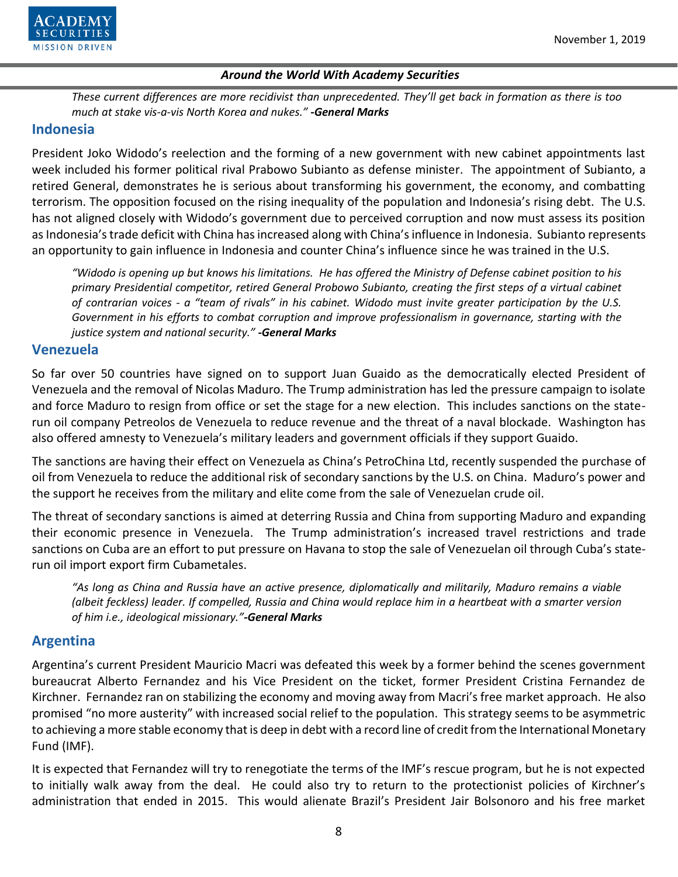

*These current differences are more recidivist than unprecedented. They'll get back in formation as there is too much at stake vis-a-vis North Korea and nukes." -General Marks*

## **Indonesia**

President Joko Widodo's reelection and the forming of a new government with new cabinet appointments last week included his former political rival Prabowo Subianto as defense minister. The appointment of Subianto, a retired General, demonstrates he is serious about transforming his government, the economy, and combatting terrorism. The opposition focused on the rising inequality of the population and Indonesia's rising debt. The U.S. has not aligned closely with Widodo's government due to perceived corruption and now must assess its position as Indonesia's trade deficit with China has increased along with China's influence in Indonesia. Subianto represents an opportunity to gain influence in Indonesia and counter China's influence since he was trained in the U.S.

*"Widodo is opening up but knows his limitations. He has offered the Ministry of Defense cabinet position to his primary Presidential competitor, retired General Probowo Subianto, creating the first steps of a virtual cabinet of contrarian voices - a "team of rivals" in his cabinet. Widodo must invite greater participation by the U.S. Government in his efforts to combat corruption and improve professionalism in governance, starting with the justice system and national security." -General Marks*

## **Venezuela**

So far over 50 countries have signed on to support Juan Guaido as the democratically elected President of Venezuela and the removal of Nicolas Maduro. The Trump administration has led the pressure campaign to isolate and force Maduro to resign from office or set the stage for a new election. This includes sanctions on the staterun oil company Petreolos de Venezuela to reduce revenue and the threat of a naval blockade. Washington has also offered amnesty to Venezuela's military leaders and government officials if they support Guaido.

The sanctions are having their effect on Venezuela as China's PetroChina Ltd, recently suspended the purchase of oil from Venezuela to reduce the additional risk of secondary sanctions by the U.S. on China. Maduro's power and the support he receives from the military and elite come from the sale of Venezuelan crude oil.

The threat of secondary sanctions is aimed at deterring Russia and China from supporting Maduro and expanding their economic presence in Venezuela. The Trump administration's increased travel restrictions and trade sanctions on Cuba are an effort to put pressure on Havana to stop the sale of Venezuelan oil through Cuba's staterun oil import export firm Cubametales.

*"As long as China and Russia have an active presence, diplomatically and militarily, Maduro remains a viable (albeit feckless) leader. If compelled, Russia and China would replace him in a heartbeat with a smarter version of him i.e., ideological missionary."-General Marks* 

# **Argentina**

Argentina's current President Mauricio Macri was defeated this week by a former behind the scenes government bureaucrat Alberto Fernandez and his Vice President on the ticket, former President Cristina Fernandez de Kirchner. Fernandez ran on stabilizing the economy and moving away from Macri's free market approach. He also promised "no more austerity" with increased social relief to the population. This strategy seems to be asymmetric to achieving a more stable economy that is deep in debt with a record line of credit from the International Monetary Fund (IMF).

It is expected that Fernandez will try to renegotiate the terms of the IMF's rescue program, but he is not expected to initially walk away from the deal. He could also try to return to the protectionist policies of Kirchner's administration that ended in 2015. This would alienate Brazil's President Jair Bolsonoro and his free market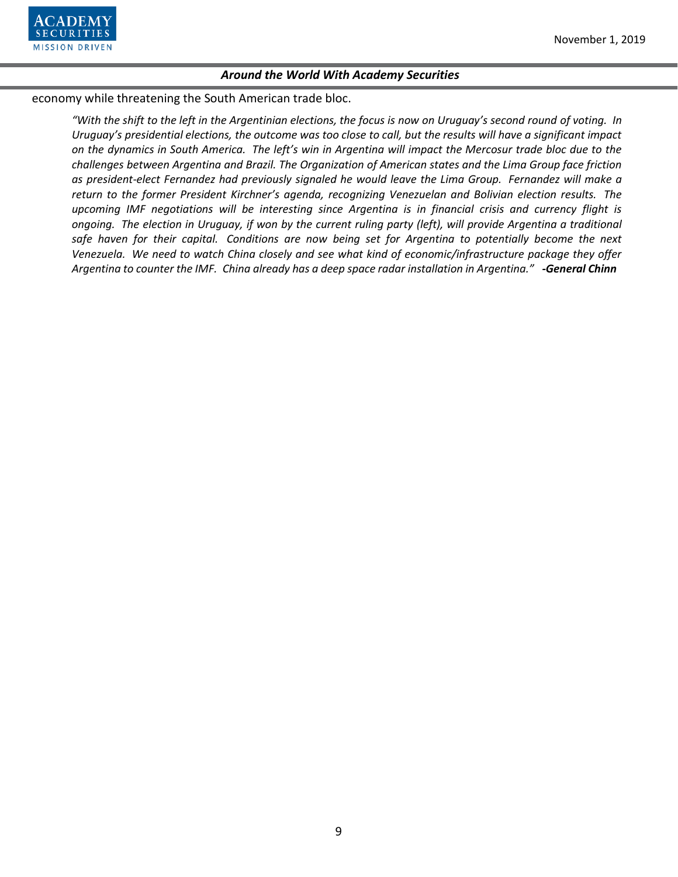

economy while threatening the South American trade bloc.

*"With the shift to the left in the Argentinian elections, the focus is now on Uruguay's second round of voting. In Uruguay's presidential elections, the outcome was too close to call, but the results will have a significant impact on the dynamics in South America. The left's win in Argentina will impact the Mercosur trade bloc due to the challenges between Argentina and Brazil. The Organization of American states and the Lima Group face friction as president-elect Fernandez had previously signaled he would leave the Lima Group. Fernandez will make a return to the former President Kirchner's agenda, recognizing Venezuelan and Bolivian election results. The upcoming IMF negotiations will be interesting since Argentina is in financial crisis and currency flight is ongoing. The election in Uruguay, if won by the current ruling party (left), will provide Argentina a traditional safe haven for their capital. Conditions are now being set for Argentina to potentially become the next Venezuela. We need to watch China closely and see what kind of economic/infrastructure package they offer Argentina to counter the IMF. China already has a deep space radar installation in Argentina." -General Chinn*